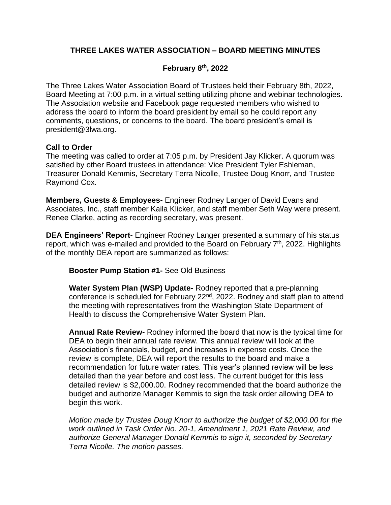# **THREE LAKES WATER ASSOCIATION – BOARD MEETING MINUTES**

# **February 8 th, 2022**

The Three Lakes Water Association Board of Trustees held their February 8th, 2022, Board Meeting at 7:00 p.m. in a virtual setting utilizing phone and webinar technologies. The Association website and Facebook page requested members who wished to address the board to inform the board president by email so he could report any comments, questions, or concerns to the board. The board president's email is president@3lwa.org.

## **Call to Order**

The meeting was called to order at 7:05 p.m. by President Jay Klicker. A quorum was satisfied by other Board trustees in attendance: Vice President Tyler Eshleman, Treasurer Donald Kemmis, Secretary Terra Nicolle, Trustee Doug Knorr, and Trustee Raymond Cox.

**Members, Guests & Employees-** Engineer Rodney Langer of David Evans and Associates, Inc., staff member Kaila Klicker, and staff member Seth Way were present. Renee Clarke, acting as recording secretary, was present.

**DEA Engineers' Report**- Engineer Rodney Langer presented a summary of his status report, which was e-mailed and provided to the Board on February 7<sup>th</sup>, 2022. Highlights of the monthly DEA report are summarized as follows:

**Booster Pump Station #1-** See Old Business

**Water System Plan (WSP) Update-** Rodney reported that a pre-planning conference is scheduled for February 22<sup>nd</sup>, 2022. Rodney and staff plan to attend the meeting with representatives from the Washington State Department of Health to discuss the Comprehensive Water System Plan.

**Annual Rate Review-** Rodney informed the board that now is the typical time for DEA to begin their annual rate review. This annual review will look at the Association's financials, budget, and increases in expense costs. Once the review is complete, DEA will report the results to the board and make a recommendation for future water rates. This year's planned review will be less detailed than the year before and cost less. The current budget for this less detailed review is \$2,000.00. Rodney recommended that the board authorize the budget and authorize Manager Kemmis to sign the task order allowing DEA to begin this work.

*Motion made by Trustee Doug Knorr to authorize the budget of \$2,000.00 for the work outlined in Task Order No. 20-1, Amendment 1, 2021 Rate Review, and authorize General Manager Donald Kemmis to sign it, seconded by Secretary Terra Nicolle. The motion passes.*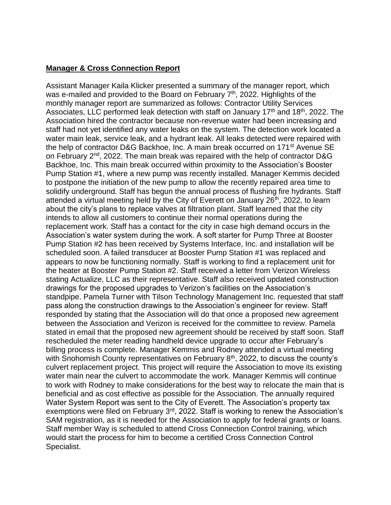# **Manager & Cross Connection Report**

Assistant Manager Kaila Klicker presented a summary of the manager report, which was e-mailed and provided to the Board on February 7<sup>th</sup>, 2022. Highlights of the monthly manager report are summarized as follows: Contractor Utility Services Associates, LLC performed leak detection with staff on January  $17<sup>th</sup>$  and  $18<sup>th</sup>$ , 2022. The Association hired the contractor because non-revenue water had been increasing and staff had not yet identified any water leaks on the system. The detection work located a water main leak, service leak, and a hydrant leak. All leaks detected were repaired with the help of contractor D&G Backhoe, Inc. A main break occurred on 171<sup>st</sup> Avenue SE on February 2nd, 2022. The main break was repaired with the help of contractor D&G Backhoe, Inc. This main break occurred within proximity to the Association's Booster Pump Station #1, where a new pump was recently installed. Manager Kemmis decided to postpone the initiation of the new pump to allow the recently repaired area time to solidify underground. Staff has begun the annual process of flushing fire hydrants. Staff attended a virtual meeting held by the City of Everett on January 26<sup>th</sup>, 2022, to learn about the city's plans to replace valves at filtration plant. Staff learned that the city intends to allow all customers to continue their normal operations during the replacement work. Staff has a contact for the city in case high demand occurs in the Association's water system during the work. A soft starter for Pump Three at Booster Pump Station #2 has been received by Systems Interface, Inc. and installation will be scheduled soon. A failed transducer at Booster Pump Station #1 was replaced and appears to now be functioning normally. Staff is working to find a replacement unit for the heater at Booster Pump Station #2. Staff received a letter from Verizon Wireless stating Actualize, LLC as their representative. Staff also received updated construction drawings for the proposed upgrades to Verizon's facilities on the Association's standpipe. Pamela Turner with Tilson Technology Management Inc. requested that staff pass along the construction drawings to the Association's engineer for review. Staff responded by stating that the Association will do that once a proposed new agreement between the Association and Verizon is received for the committee to review. Pamela stated in email that the proposed new agreement should be received by staff soon. Staff rescheduled the meter reading handheld device upgrade to occur after February's billing process is complete. Manager Kemmis and Rodney attended a virtual meeting with Snohomish County representatives on February 8<sup>th</sup>, 2022, to discuss the county's culvert replacement project. This project will require the Association to move its existing water main near the culvert to accommodate the work. Manager Kemmis will continue to work with Rodney to make considerations for the best way to relocate the main that is beneficial and as cost effective as possible for the Association. The annually required Water System Report was sent to the City of Everett. The Association's property tax exemptions were filed on February 3<sup>rd</sup>, 2022. Staff is working to renew the Association's SAM registration, as it is needed for the Association to apply for federal grants or loans. Staff member Way is scheduled to attend Cross Connection Control training, which would start the process for him to become a certified Cross Connection Control Specialist.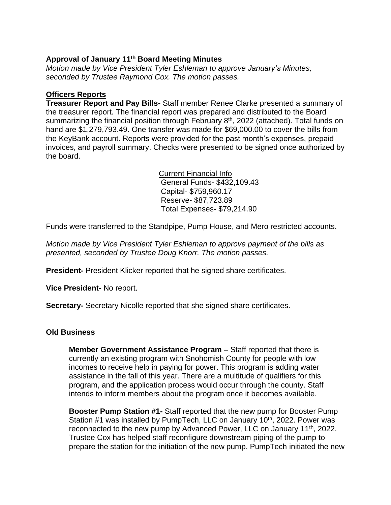# **Approval of January 11th Board Meeting Minutes**

*Motion made by Vice President Tyler Eshleman to approve January's Minutes, seconded by Trustee Raymond Cox. The motion passes.*

## **Officers Reports**

**Treasurer Report and Pay Bills-** Staff member Renee Clarke presented a summary of the treasurer report. The financial report was prepared and distributed to the Board summarizing the financial position through February 8<sup>th</sup>, 2022 (attached). Total funds on hand are \$1,279,793.49. One transfer was made for \$69,000.00 to cover the bills from the KeyBank account. Reports were provided for the past month's expenses, prepaid invoices, and payroll summary. Checks were presented to be signed once authorized by the board.

> Current Financial Info General Funds- \$432,109.43 Capital- \$759,960.17 Reserve- \$87,723.89 Total Expenses- \$79,214.90

Funds were transferred to the Standpipe, Pump House, and Mero restricted accounts.

*Motion made by Vice President Tyler Eshleman to approve payment of the bills as presented, seconded by Trustee Doug Knorr. The motion passes.*

**President-** President Klicker reported that he signed share certificates.

**Vice President-** No report.

**Secretary-** Secretary Nicolle reported that she signed share certificates.

## **Old Business**

**Member Government Assistance Program –** Staff reported that there is currently an existing program with Snohomish County for people with low incomes to receive help in paying for power. This program is adding water assistance in the fall of this year. There are a multitude of qualifiers for this program, and the application process would occur through the county. Staff intends to inform members about the program once it becomes available.

**Booster Pump Station #1-** Staff reported that the new pump for Booster Pump Station #1 was installed by PumpTech, LLC on January 10<sup>th</sup>, 2022. Power was reconnected to the new pump by Advanced Power, LLC on January 11<sup>th</sup>, 2022. Trustee Cox has helped staff reconfigure downstream piping of the pump to prepare the station for the initiation of the new pump. PumpTech initiated the new